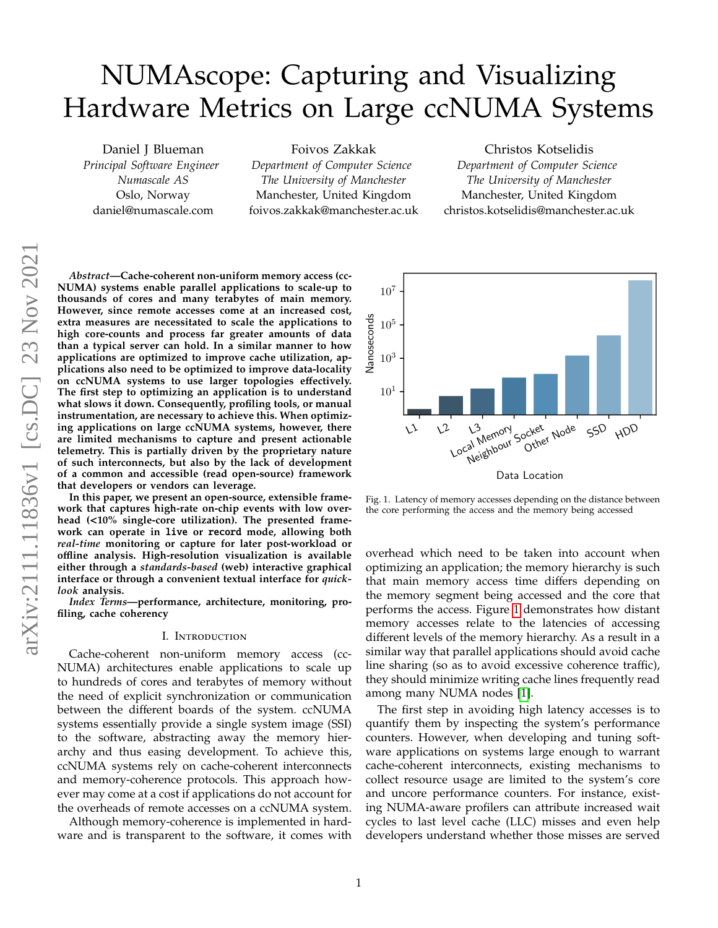# NUMAscope: Capturing and Visualizing Hardware Metrics on Large ccNUMA Systems

Daniel J Blueman *Principal Software Engineer Numascale AS* Oslo, Norway daniel@numascale.com

Foivos Zakkak *Department of Computer Science The University of Manchester* Manchester, United Kingdom foivos.zakkak@manchester.ac.uk

Christos Kotselidis *Department of Computer Science The University of Manchester* Manchester, United Kingdom christos.kotselidis@manchester.ac.uk

*Abstract***—Cache-coherent non-uniform memory access (cc-NUMA) systems enable parallel applications to scale-up to thousands of cores and many terabytes of main memory. However, since remote accesses come at an increased cost, extra measures are necessitated to scale the applications to high core-counts and process far greater amounts of data than a typical server can hold. In a similar manner to how applications are optimized to improve cache utilization, applications also need to be optimized to improve data-locality on ccNUMA systems to use larger topologies e**ff**ectively. The first step to optimizing an application is to understand what slows it down. Consequently, profiling tools, or manual instrumentation, are necessary to achieve this. When optimizing applications on large ccNUMA systems, however, there are limited mechanisms to capture and present actionable telemetry. This is partially driven by the proprietary nature of such interconnects, but also by the lack of development of a common and accessible (read open-source) framework that developers or vendors can leverage.**

**In this paper, we present an open-source, extensible framework that captures high-rate on-chip events with low overhead (**<**10% single-core utilization). The presented framework can operate in** live **or** record **mode, allowing both** *real-time* **monitoring or capture for later post-workload or o**ffl**ine analysis. High-resolution visualization is available either through a** *standards-based* **(web) interactive graphical interface or through a convenient textual interface for** *quicklook* **analysis.**

*Index Terms***—performance, architecture, monitoring, profiling, cache coherency**

#### I. Introduction

Cache-coherent non-uniform memory access (cc-NUMA) architectures enable applications to scale up to hundreds of cores and terabytes of memory without the need of explicit synchronization or communication between the different boards of the system. ccNUMA systems essentially provide a single system image (SSI) to the software, abstracting away the memory hierarchy and thus easing development. To achieve this, ccNUMA systems rely on cache-coherent interconnects and memory-coherence protocols. This approach however may come at a cost if applications do not account for the overheads of remote accesses on a ccNUMA system.

Although memory-coherence is implemented in hardware and is transparent to the software, it comes with



<span id="page-0-0"></span>Fig. 1. Latency of memory accesses depending on the distance between the core performing the access and the memory being accessed

overhead which need to be taken into account when optimizing an application; the memory hierarchy is such that main memory access time differs depending on the memory segment being accessed and the core that performs the access. Figure [1](#page-0-0) demonstrates how distant memory accesses relate to the latencies of accessing different levels of the memory hierarchy. As a result in a similar way that parallel applications should avoid cache line sharing (so as to avoid excessive coherence traffic), they should minimize writing cache lines frequently read among many NUMA nodes [\[1\]](#page-9-0).

The first step in avoiding high latency accesses is to quantify them by inspecting the system's performance counters. However, when developing and tuning software applications on systems large enough to warrant cache-coherent interconnects, existing mechanisms to collect resource usage are limited to the system's core and uncore performance counters. For instance, existing NUMA-aware profilers can attribute increased wait cycles to last level cache (LLC) misses and even help developers understand whether those misses are served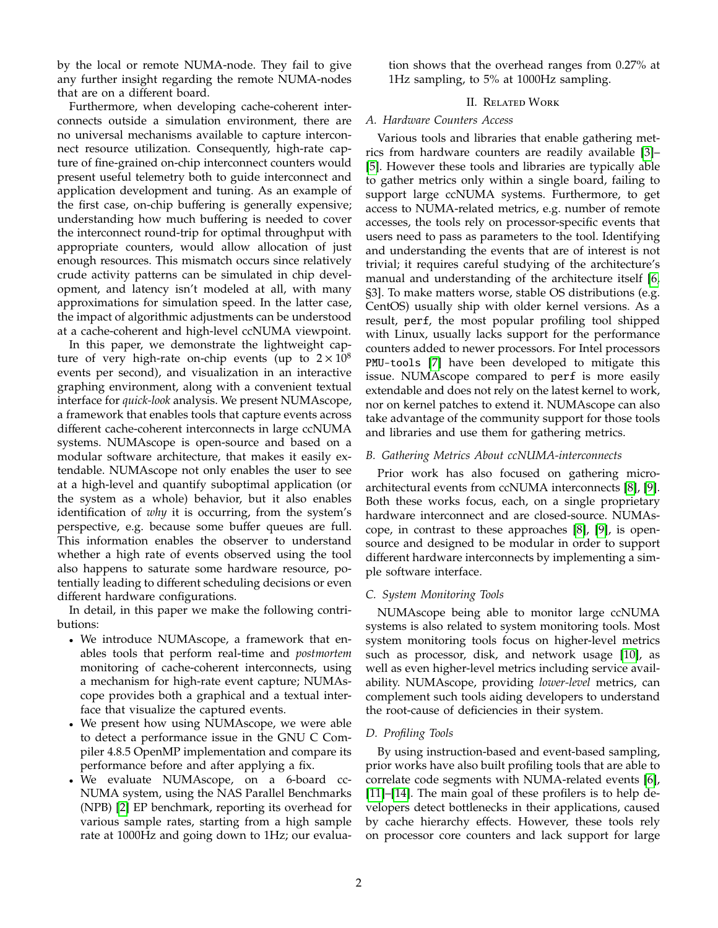by the local or remote NUMA-node. They fail to give any further insight regarding the remote NUMA-nodes that are on a different board.

Furthermore, when developing cache-coherent interconnects outside a simulation environment, there are no universal mechanisms available to capture interconnect resource utilization. Consequently, high-rate capture of fine-grained on-chip interconnect counters would present useful telemetry both to guide interconnect and application development and tuning. As an example of the first case, on-chip buffering is generally expensive; understanding how much buffering is needed to cover the interconnect round-trip for optimal throughput with appropriate counters, would allow allocation of just enough resources. This mismatch occurs since relatively crude activity patterns can be simulated in chip development, and latency isn't modeled at all, with many approximations for simulation speed. In the latter case, the impact of algorithmic adjustments can be understood at a cache-coherent and high-level ccNUMA viewpoint.

In this paper, we demonstrate the lightweight capture of very high-rate on-chip events (up to  $2 \times 10^8$ ) events per second), and visualization in an interactive graphing environment, along with a convenient textual interface for *quick-look* analysis. We present NUMAscope, a framework that enables tools that capture events across different cache-coherent interconnects in large ccNUMA systems. NUMAscope is open-source and based on a modular software architecture, that makes it easily extendable. NUMAscope not only enables the user to see at a high-level and quantify suboptimal application (or the system as a whole) behavior, but it also enables identification of *why* it is occurring, from the system's perspective, e.g. because some buffer queues are full. This information enables the observer to understand whether a high rate of events observed using the tool also happens to saturate some hardware resource, potentially leading to different scheduling decisions or even different hardware configurations.

In detail, in this paper we make the following contributions:

- We introduce NUMAscope, a framework that enables tools that perform real-time and *postmortem* monitoring of cache-coherent interconnects, using a mechanism for high-rate event capture; NUMAscope provides both a graphical and a textual interface that visualize the captured events.
- We present how using NUMAscope, we were able to detect a performance issue in the GNU C Compiler 4.8.5 OpenMP implementation and compare its performance before and after applying a fix.
- We evaluate NUMAscope, on a 6-board cc-NUMA system, using the NAS Parallel Benchmarks (NPB) [\[2\]](#page-9-1) EP benchmark, reporting its overhead for various sample rates, starting from a high sample rate at 1000Hz and going down to 1Hz; our evalua-

tion shows that the overhead ranges from 0.27% at 1Hz sampling, to 5% at 1000Hz sampling.

## II. Related Work

## *A. Hardware Counters Access*

Various tools and libraries that enable gathering metrics from hardware counters are readily available [\[3\]](#page-9-2)– [\[5\]](#page-9-3). However these tools and libraries are typically able to gather metrics only within a single board, failing to support large ccNUMA systems. Furthermore, to get access to NUMA-related metrics, e.g. number of remote accesses, the tools rely on processor-specific events that users need to pass as parameters to the tool. Identifying and understanding the events that are of interest is not trivial; it requires careful studying of the architecture's manual and understanding of the architecture itself [\[6,](#page-9-4) §3]. To make matters worse, stable OS distributions (e.g. CentOS) usually ship with older kernel versions. As a result, perf, the most popular profiling tool shipped with Linux, usually lacks support for the performance counters added to newer processors. For Intel processors PMU-tools [\[7\]](#page-9-5) have been developed to mitigate this issue. NUMAscope compared to perf is more easily extendable and does not rely on the latest kernel to work, nor on kernel patches to extend it. NUMAscope can also take advantage of the community support for those tools and libraries and use them for gathering metrics.

## *B. Gathering Metrics About ccNUMA-interconnects*

Prior work has also focused on gathering microarchitectural events from ccNUMA interconnects [\[8\]](#page-9-6), [\[9\]](#page-9-7). Both these works focus, each, on a single proprietary hardware interconnect and are closed-source. NUMAscope, in contrast to these approaches [\[8\]](#page-9-6), [\[9\]](#page-9-7), is opensource and designed to be modular in order to support different hardware interconnects by implementing a simple software interface.

## *C. System Monitoring Tools*

NUMAscope being able to monitor large ccNUMA systems is also related to system monitoring tools. Most system monitoring tools focus on higher-level metrics such as processor, disk, and network usage [\[10\]](#page-9-8), as well as even higher-level metrics including service availability. NUMAscope, providing *lower-level* metrics, can complement such tools aiding developers to understand the root-cause of deficiencies in their system.

## *D. Profiling Tools*

By using instruction-based and event-based sampling, prior works have also built profiling tools that are able to correlate code segments with NUMA-related events [\[6\]](#page-9-4), [\[11\]](#page-9-9)–[\[14\]](#page-9-10). The main goal of these profilers is to help developers detect bottlenecks in their applications, caused by cache hierarchy effects. However, these tools rely on processor core counters and lack support for large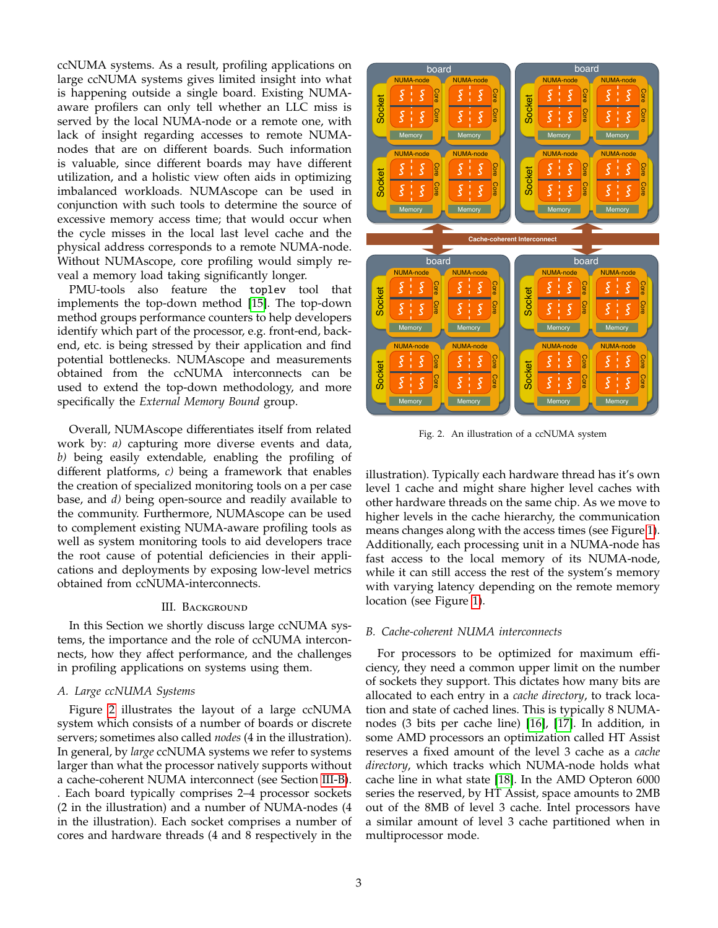ccNUMA systems. As a result, profiling applications on large ccNUMA systems gives limited insight into what is happening outside a single board. Existing NUMAaware profilers can only tell whether an LLC miss is served by the local NUMA-node or a remote one, with lack of insight regarding accesses to remote NUMAnodes that are on different boards. Such information is valuable, since different boards may have different utilization, and a holistic view often aids in optimizing imbalanced workloads. NUMAscope can be used in conjunction with such tools to determine the source of excessive memory access time; that would occur when the cycle misses in the local last level cache and the physical address corresponds to a remote NUMA-node. Without NUMAscope, core profiling would simply reveal a memory load taking significantly longer.

PMU-tools also feature the toplev tool that implements the top-down method [\[15\]](#page-10-0). The top-down method groups performance counters to help developers identify which part of the processor, e.g. front-end, backend, etc. is being stressed by their application and find potential bottlenecks. NUMAscope and measurements obtained from the ccNUMA interconnects can be used to extend the top-down methodology, and more specifically the *External Memory Bound* group.

Overall, NUMAscope differentiates itself from related work by: *a)* capturing more diverse events and data, *b)* being easily extendable, enabling the profiling of different platforms, *c)* being a framework that enables the creation of specialized monitoring tools on a per case base, and *d)* being open-source and readily available to the community. Furthermore, NUMAscope can be used to complement existing NUMA-aware profiling tools as well as system monitoring tools to aid developers trace the root cause of potential deficiencies in their applications and deployments by exposing low-level metrics obtained from ccNUMA-interconnects.

#### III. BACKGROUND

In this Section we shortly discuss large ccNUMA systems, the importance and the role of ccNUMA interconnects, how they affect performance, and the challenges in profiling applications on systems using them.

#### <span id="page-2-2"></span>*A. Large ccNUMA Systems*

Figure [2](#page-2-0) illustrates the layout of a large ccNUMA system which consists of a number of boards or discrete servers; sometimes also called *nodes* (4 in the illustration). In general, by *large* ccNUMA systems we refer to systems larger than what the processor natively supports without a cache-coherent NUMA interconnect (see Section [III-B\)](#page-2-1). . Each board typically comprises 2–4 processor sockets (2 in the illustration) and a number of NUMA-nodes (4 in the illustration). Each socket comprises a number of cores and hardware threads (4 and 8 respectively in the



<span id="page-2-0"></span>Fig. 2. An illustration of a ccNUMA system

illustration). Typically each hardware thread has it's own level 1 cache and might share higher level caches with other hardware threads on the same chip. As we move to higher levels in the cache hierarchy, the communication means changes along with the access times (see Figure [1\)](#page-0-0). Additionally, each processing unit in a NUMA-node has fast access to the local memory of its NUMA-node, while it can still access the rest of the system's memory with varying latency depending on the remote memory location (see Figure [1\)](#page-0-0).

### <span id="page-2-1"></span>*B. Cache-coherent NUMA interconnects*

For processors to be optimized for maximum efficiency, they need a common upper limit on the number of sockets they support. This dictates how many bits are allocated to each entry in a *cache directory*, to track location and state of cached lines. This is typically 8 NUMAnodes (3 bits per cache line) [\[16\]](#page-10-1), [\[17\]](#page-10-2). In addition, in some AMD processors an optimization called HT Assist reserves a fixed amount of the level 3 cache as a *cache directory*, which tracks which NUMA-node holds what cache line in what state [\[18\]](#page-10-3). In the AMD Opteron 6000 series the reserved, by HT Assist, space amounts to 2MB out of the 8MB of level 3 cache. Intel processors have a similar amount of level 3 cache partitioned when in multiprocessor mode.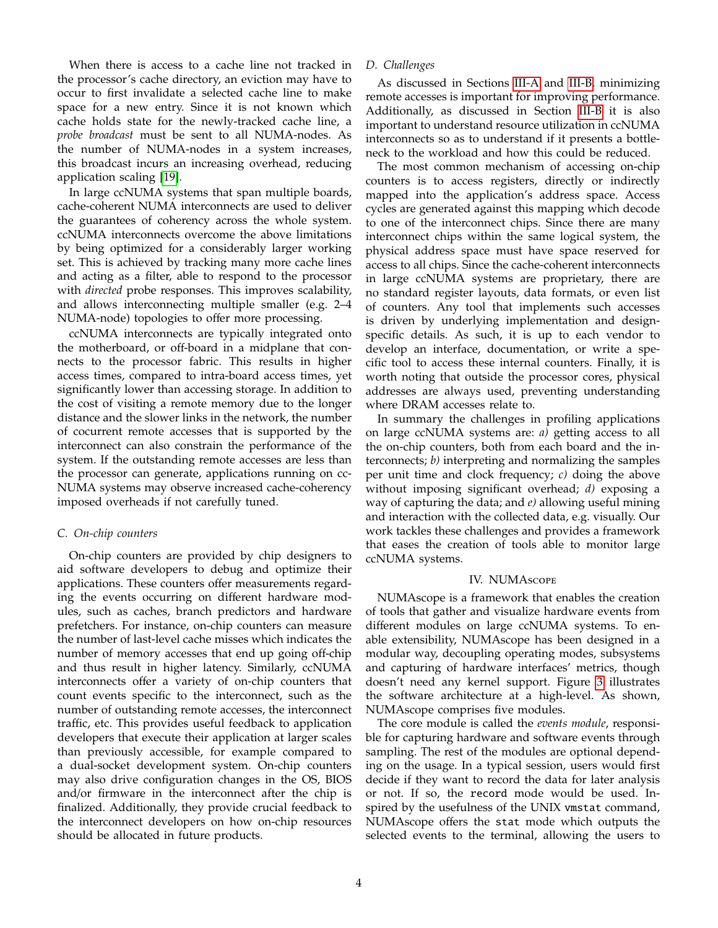When there is access to a cache line not tracked in the processor's cache directory, an eviction may have to occur to first invalidate a selected cache line to make space for a new entry. Since it is not known which cache holds state for the newly-tracked cache line, a *probe broadcast* must be sent to all NUMA-nodes. As the number of NUMA-nodes in a system increases, this broadcast incurs an increasing overhead, reducing application scaling [\[19\]](#page-10-4).

In large ccNUMA systems that span multiple boards, cache-coherent NUMA interconnects are used to deliver the guarantees of coherency across the whole system. ccNUMA interconnects overcome the above limitations by being optimized for a considerably larger working set. This is achieved by tracking many more cache lines and acting as a filter, able to respond to the processor with *directed* probe responses. This improves scalability, and allows interconnecting multiple smaller (e.g. 2–4 NUMA-node) topologies to offer more processing.

ccNUMA interconnects are typically integrated onto the motherboard, or off-board in a midplane that connects to the processor fabric. This results in higher access times, compared to intra-board access times, yet significantly lower than accessing storage. In addition to the cost of visiting a remote memory due to the longer distance and the slower links in the network, the number of cocurrent remote accesses that is supported by the interconnect can also constrain the performance of the system. If the outstanding remote accesses are less than the processor can generate, applications running on cc-NUMA systems may observe increased cache-coherency imposed overheads if not carefully tuned.

#### *C. On-chip counters*

On-chip counters are provided by chip designers to aid software developers to debug and optimize their applications. These counters offer measurements regarding the events occurring on different hardware modules, such as caches, branch predictors and hardware prefetchers. For instance, on-chip counters can measure the number of last-level cache misses which indicates the number of memory accesses that end up going off-chip and thus result in higher latency. Similarly, ccNUMA interconnects offer a variety of on-chip counters that count events specific to the interconnect, such as the number of outstanding remote accesses, the interconnect traffic, etc. This provides useful feedback to application developers that execute their application at larger scales than previously accessible, for example compared to a dual-socket development system. On-chip counters may also drive configuration changes in the OS, BIOS and/or firmware in the interconnect after the chip is finalized. Additionally, they provide crucial feedback to the interconnect developers on how on-chip resources should be allocated in future products.

#### *D. Challenges*

As discussed in Sections [III-A](#page-2-2) and [III-B,](#page-2-1) minimizing remote accesses is important for improving performance. Additionally, as discussed in Section [III-B](#page-2-1) it is also important to understand resource utilization in ccNUMA interconnects so as to understand if it presents a bottleneck to the workload and how this could be reduced.

The most common mechanism of accessing on-chip counters is to access registers, directly or indirectly mapped into the application's address space. Access cycles are generated against this mapping which decode to one of the interconnect chips. Since there are many interconnect chips within the same logical system, the physical address space must have space reserved for access to all chips. Since the cache-coherent interconnects in large ccNUMA systems are proprietary, there are no standard register layouts, data formats, or even list of counters. Any tool that implements such accesses is driven by underlying implementation and designspecific details. As such, it is up to each vendor to develop an interface, documentation, or write a specific tool to access these internal counters. Finally, it is worth noting that outside the processor cores, physical addresses are always used, preventing understanding where DRAM accesses relate to.

In summary the challenges in profiling applications on large ccNUMA systems are: *a)* getting access to all the on-chip counters, both from each board and the interconnects; *b)* interpreting and normalizing the samples per unit time and clock frequency; *c)* doing the above without imposing significant overhead; *d)* exposing a way of capturing the data; and *e)* allowing useful mining and interaction with the collected data, e.g. visually. Our work tackles these challenges and provides a framework that eases the creation of tools able to monitor large ccNUMA systems.

#### IV. NUMAscope

NUMAscope is a framework that enables the creation of tools that gather and visualize hardware events from different modules on large ccNUMA systems. To enable extensibility, NUMAscope has been designed in a modular way, decoupling operating modes, subsystems and capturing of hardware interfaces' metrics, though doesn't need any kernel support. Figure [3](#page-5-0) illustrates the software architecture at a high-level. As shown, NUMAscope comprises five modules.

The core module is called the *events module*, responsible for capturing hardware and software events through sampling. The rest of the modules are optional depending on the usage. In a typical session, users would first decide if they want to record the data for later analysis or not. If so, the record mode would be used. Inspired by the usefulness of the UNIX vmstat command, NUMAscope offers the stat mode which outputs the selected events to the terminal, allowing the users to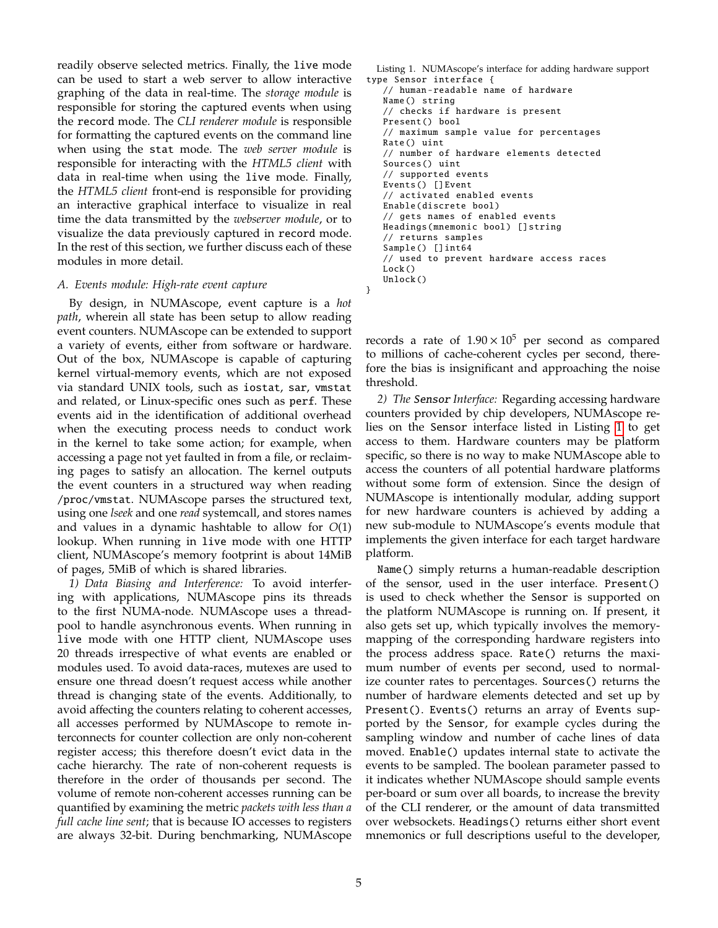readily observe selected metrics. Finally, the live mode can be used to start a web server to allow interactive graphing of the data in real-time. The *storage module* is responsible for storing the captured events when using the record mode. The *CLI renderer module* is responsible for formatting the captured events on the command line when using the stat mode. The *web server module* is responsible for interacting with the *HTML5 client* with data in real-time when using the live mode. Finally, the *HTML5 client* front-end is responsible for providing an interactive graphical interface to visualize in real time the data transmitted by the *webserver module*, or to visualize the data previously captured in record mode. In the rest of this section, we further discuss each of these modules in more detail.

#### <span id="page-4-1"></span>*A. Events module: High-rate event capture*

By design, in NUMAscope, event capture is a *hot path*, wherein all state has been setup to allow reading event counters. NUMAscope can be extended to support a variety of events, either from software or hardware. Out of the box, NUMAscope is capable of capturing kernel virtual-memory events, which are not exposed via standard UNIX tools, such as iostat, sar, vmstat and related, or Linux-specific ones such as perf. These events aid in the identification of additional overhead when the executing process needs to conduct work in the kernel to take some action; for example, when accessing a page not yet faulted in from a file, or reclaiming pages to satisfy an allocation. The kernel outputs the event counters in a structured way when reading /proc/vmstat. NUMAscope parses the structured text, using one *lseek* and one *read* systemcall, and stores names and values in a dynamic hashtable to allow for *O*(1) lookup. When running in live mode with one HTTP client, NUMAscope's memory footprint is about 14MiB of pages, 5MiB of which is shared libraries.

*1) Data Biasing and Interference:* To avoid interfering with applications, NUMAscope pins its threads to the first NUMA-node. NUMAscope uses a threadpool to handle asynchronous events. When running in live mode with one HTTP client, NUMAscope uses 20 threads irrespective of what events are enabled or modules used. To avoid data-races, mutexes are used to ensure one thread doesn't request access while another thread is changing state of the events. Additionally, to avoid affecting the counters relating to coherent accesses, all accesses performed by NUMAscope to remote interconnects for counter collection are only non-coherent register access; this therefore doesn't evict data in the cache hierarchy. The rate of non-coherent requests is therefore in the order of thousands per second. The volume of remote non-coherent accesses running can be quantified by examining the metric *packets with less than a full cache line sent*; that is because IO accesses to registers are always 32-bit. During benchmarking, NUMAscope

```
Listing 1. NUMAscope's interface for adding hardware support
type Sensor interface {
   // human -readable name of hardware
   Name () string
   // checks if hardware is present
   Present () bool
   // maximum sample value for percentages
   Rate () uint
   // number of hardware elements detected
   Sources () uint
   // supported events
   Events () [] Event
   // activated enabled events
   Enable(discrete bool)
   // gets names of enabled events
   Headings(mnemonic bool) [] string
   // returns samples
   Sample () [] int64
   // used to prevent hardware access races
   Lock()Unlock ()
```

```
}
```
records a rate of  $1.90 \times 10^5$  per second as compared to millions of cache-coherent cycles per second, therefore the bias is insignificant and approaching the noise threshold.

*2) The* Sensor *Interface:* Regarding accessing hardware counters provided by chip developers, NUMAscope relies on the Sensor interface listed in Listing [1](#page-4-0) to get access to them. Hardware counters may be platform specific, so there is no way to make NUMAscope able to access the counters of all potential hardware platforms without some form of extension. Since the design of NUMAscope is intentionally modular, adding support for new hardware counters is achieved by adding a new sub-module to NUMAscope's events module that implements the given interface for each target hardware platform.

Name() simply returns a human-readable description of the sensor, used in the user interface. Present() is used to check whether the Sensor is supported on the platform NUMAscope is running on. If present, it also gets set up, which typically involves the memorymapping of the corresponding hardware registers into the process address space. Rate() returns the maximum number of events per second, used to normalize counter rates to percentages. Sources() returns the number of hardware elements detected and set up by Present(). Events() returns an array of Events supported by the Sensor, for example cycles during the sampling window and number of cache lines of data moved. Enable() updates internal state to activate the events to be sampled. The boolean parameter passed to it indicates whether NUMAscope should sample events per-board or sum over all boards, to increase the brevity of the CLI renderer, or the amount of data transmitted over websockets. Headings() returns either short event mnemonics or full descriptions useful to the developer,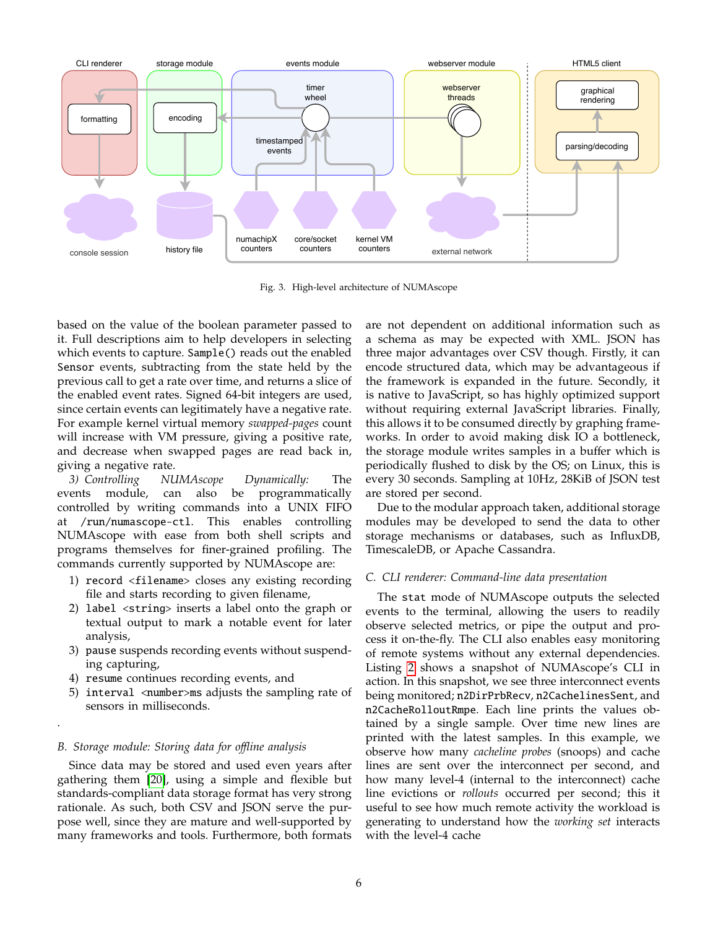

<span id="page-5-0"></span>Fig. 3. High-level architecture of NUMAscope

based on the value of the boolean parameter passed to it. Full descriptions aim to help developers in selecting which events to capture. Sample() reads out the enabled Sensor events, subtracting from the state held by the previous call to get a rate over time, and returns a slice of the enabled event rates. Signed 64-bit integers are used, since certain events can legitimately have a negative rate. For example kernel virtual memory *swapped-pages* count will increase with VM pressure, giving a positive rate, and decrease when swapped pages are read back in, giving a negative rate.

*3) Controlling NUMAscope Dynamically:* The events module, can also be programmatically controlled by writing commands into a UNIX FIFO at /run/numascope-ctl. This enables controlling NUMAscope with ease from both shell scripts and programs themselves for finer-grained profiling. The commands currently supported by NUMAscope are:

- 1) record <filename> closes any existing recording file and starts recording to given filename,
- 2) label <string> inserts a label onto the graph or textual output to mark a notable event for later analysis,
- 3) pause suspends recording events without suspending capturing,
- 4) resume continues recording events, and
- 5) interval  $\langle$ number>ms adjusts the sampling rate of sensors in milliseconds.

### *B. Storage module: Storing data for o*ffl*ine analysis*

.

Since data may be stored and used even years after gathering them [\[20\]](#page-10-5), using a simple and flexible but standards-compliant data storage format has very strong rationale. As such, both CSV and JSON serve the purpose well, since they are mature and well-supported by many frameworks and tools. Furthermore, both formats

are not dependent on additional information such as a schema as may be expected with XML. JSON has three major advantages over CSV though. Firstly, it can encode structured data, which may be advantageous if the framework is expanded in the future. Secondly, it is native to JavaScript, so has highly optimized support without requiring external JavaScript libraries. Finally, this allows it to be consumed directly by graphing frameworks. In order to avoid making disk IO a bottleneck, the storage module writes samples in a buffer which is periodically flushed to disk by the OS; on Linux, this is every 30 seconds. Sampling at 10Hz, 28KiB of JSON test are stored per second.

Due to the modular approach taken, additional storage modules may be developed to send the data to other storage mechanisms or databases, such as InfluxDB, TimescaleDB, or Apache Cassandra.

#### *C. CLI renderer: Command-line data presentation*

The stat mode of NUMAscope outputs the selected events to the terminal, allowing the users to readily observe selected metrics, or pipe the output and process it on-the-fly. The CLI also enables easy monitoring of remote systems without any external dependencies. Listing [2](#page-6-0) shows a snapshot of NUMAscope's CLI in action. In this snapshot, we see three interconnect events being monitored; n2DirPrbRecv, n2CachelinesSent, and n2CacheRolloutRmpe. Each line prints the values obtained by a single sample. Over time new lines are printed with the latest samples. In this example, we observe how many *cacheline probes* (snoops) and cache lines are sent over the interconnect per second, and how many level-4 (internal to the interconnect) cache line evictions or *rollouts* occurred per second; this it useful to see how much remote activity the workload is generating to understand how the *working set* interacts with the level-4 cache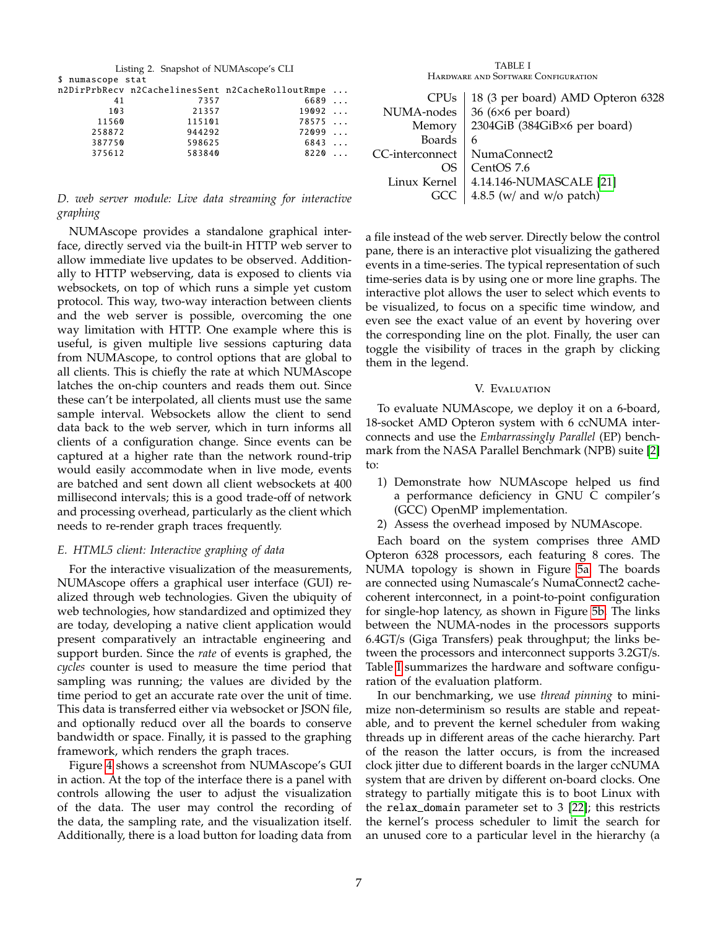<span id="page-6-0"></span>

| Listing 2. Snapshot of NUMAscope's CLI |        |                                                  |          |  |
|----------------------------------------|--------|--------------------------------------------------|----------|--|
| \$ numascope stat                      |        |                                                  |          |  |
|                                        |        | n2DirPrbRecv n2CachelinesSent n2CacheRolloutRmpe |          |  |
| 41                                     | 7357   | 6689                                             |          |  |
| 103                                    | 21357  | 19092                                            |          |  |
| 11560                                  | 115101 | 78575                                            |          |  |
| 258872                                 | 944292 | 72099                                            |          |  |
| 387750                                 | 598625 | 6843                                             | $\ldots$ |  |
| 375612                                 | 583840 | 8220                                             | $\cdots$ |  |
|                                        |        |                                                  |          |  |

## *D. web server module: Live data streaming for interactive graphing*

NUMAscope provides a standalone graphical interface, directly served via the built-in HTTP web server to allow immediate live updates to be observed. Additionally to HTTP webserving, data is exposed to clients via websockets, on top of which runs a simple yet custom protocol. This way, two-way interaction between clients and the web server is possible, overcoming the one way limitation with HTTP. One example where this is useful, is given multiple live sessions capturing data from NUMAscope, to control options that are global to all clients. This is chiefly the rate at which NUMAscope latches the on-chip counters and reads them out. Since these can't be interpolated, all clients must use the same sample interval. Websockets allow the client to send data back to the web server, which in turn informs all clients of a configuration change. Since events can be captured at a higher rate than the network round-trip would easily accommodate when in live mode, events are batched and sent down all client websockets at 400 millisecond intervals; this is a good trade-off of network and processing overhead, particularly as the client which needs to re-render graph traces frequently.

### *E. HTML5 client: Interactive graphing of data*

For the interactive visualization of the measurements, NUMAscope offers a graphical user interface (GUI) realized through web technologies. Given the ubiquity of web technologies, how standardized and optimized they are today, developing a native client application would present comparatively an intractable engineering and support burden. Since the *rate* of events is graphed, the *cycles* counter is used to measure the time period that sampling was running; the values are divided by the time period to get an accurate rate over the unit of time. This data is transferred either via websocket or JSON file, and optionally reducd over all the boards to conserve bandwidth or space. Finally, it is passed to the graphing framework, which renders the graph traces.

Figure [4](#page-7-0) shows a screenshot from NUMAscope's GUI in action. At the top of the interface there is a panel with controls allowing the user to adjust the visualization of the data. The user may control the recording of the data, the sampling rate, and the visualization itself. Additionally, there is a load button for loading data from

TABLE I Hardware and Software Configuration

<span id="page-6-1"></span>

| <b>CPU<sub>s</sub></b><br>NUMA-nodes | 18 (3 per board) AMD Opteron 6328<br>36 (6×6 per board) |  |
|--------------------------------------|---------------------------------------------------------|--|
| Memory                               | 2304GiB (384GiB×6 per board)                            |  |
| <b>Boards</b>                        | 6                                                       |  |
| CC-interconnect                      | NumaConnect2                                            |  |
| OS                                   | CentOS 7.6                                              |  |
| Linux Kernel                         | 4.14.146-NUMASCALE [21]                                 |  |
| GCC.                                 | 4.8.5 (w/ and w/o patch)                                |  |

a file instead of the web server. Directly below the control pane, there is an interactive plot visualizing the gathered events in a time-series. The typical representation of such time-series data is by using one or more line graphs. The interactive plot allows the user to select which events to be visualized, to focus on a specific time window, and even see the exact value of an event by hovering over the corresponding line on the plot. Finally, the user can toggle the visibility of traces in the graph by clicking them in the legend.

#### V. Evaluation

To evaluate NUMAscope, we deploy it on a 6-board, 18-socket AMD Opteron system with 6 ccNUMA interconnects and use the *Embarrassingly Parallel* (EP) benchmark from the NASA Parallel Benchmark (NPB) suite [\[2\]](#page-9-1) to:

- 1) Demonstrate how NUMAscope helped us find a performance deficiency in GNU C compiler's (GCC) OpenMP implementation.
- 2) Assess the overhead imposed by NUMAscope.

Each board on the system comprises three AMD Opteron 6328 processors, each featuring 8 cores. The NUMA topology is shown in Figure [5a.](#page-7-1) The boards are connected using Numascale's NumaConnect2 cachecoherent interconnect, in a point-to-point configuration for single-hop latency, as shown in Figure [5b.](#page-7-2) The links between the NUMA-nodes in the processors supports 6.4GT/s (Giga Transfers) peak throughput; the links between the processors and interconnect supports 3.2GT/s. Table [I](#page-6-1) summarizes the hardware and software configuration of the evaluation platform.

In our benchmarking, we use *thread pinning* to minimize non-determinism so results are stable and repeatable, and to prevent the kernel scheduler from waking threads up in different areas of the cache hierarchy. Part of the reason the latter occurs, is from the increased clock jitter due to different boards in the larger ccNUMA system that are driven by different on-board clocks. One strategy to partially mitigate this is to boot Linux with the relax\_domain parameter set to 3 [\[22\]](#page-10-7); this restricts the kernel's process scheduler to limit the search for an unused core to a particular level in the hierarchy (a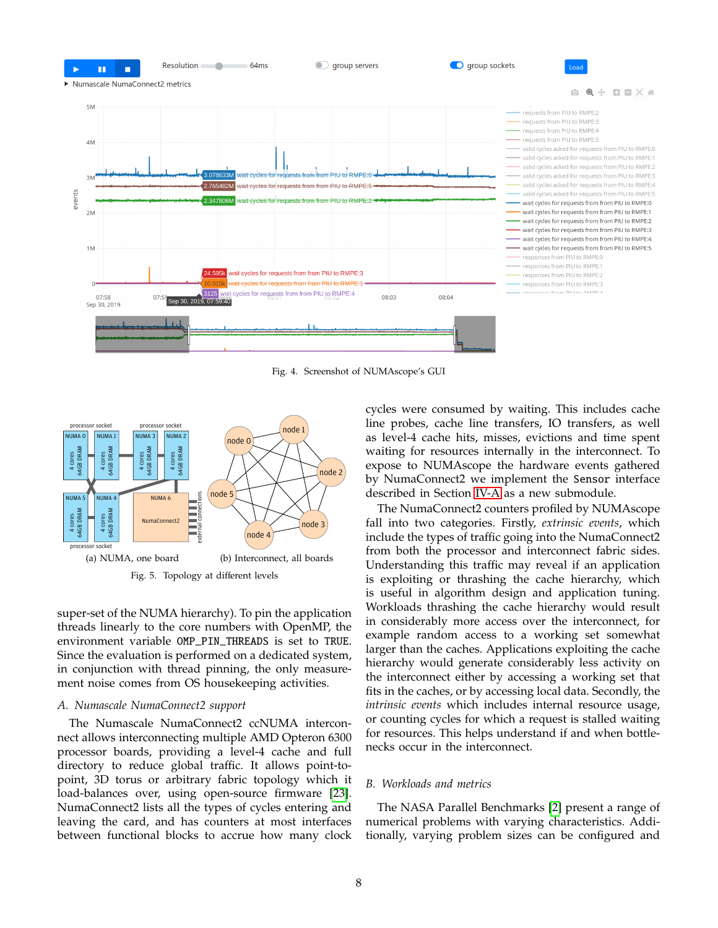

<span id="page-7-0"></span>Fig. 4. Screenshot of NUMAscope's GUI

<span id="page-7-1"></span>

super-set of the NUMA hierarchy). To pin the application threads linearly to the core numbers with OpenMP, the environment variable OMP\_PIN\_THREADS is set to TRUE. Since the evaluation is performed on a dedicated system, in conjunction with thread pinning, the only measurement noise comes from OS housekeeping activities.

#### *A. Numascale NumaConnect2 support*

The Numascale NumaConnect2 ccNUMA interconnect allows interconnecting multiple AMD Opteron 6300 processor boards, providing a level-4 cache and full directory to reduce global traffic. It allows point-topoint, 3D torus or arbitrary fabric topology which it load-balances over, using open-source firmware [\[23\]](#page-10-8). NumaConnect2 lists all the types of cycles entering and leaving the card, and has counters at most interfaces between functional blocks to accrue how many clock

cycles were consumed by waiting. This includes cache line probes, cache line transfers, IO transfers, as well as level-4 cache hits, misses, evictions and time spent waiting for resources internally in the interconnect. To expose to NUMAscope the hardware events gathered by NumaConnect2 we implement the Sensor interface described in Section [IV-A](#page-4-1) as a new submodule.

<span id="page-7-2"></span>The NumaConnect2 counters profiled by NUMAscope fall into two categories. Firstly, *extrinsic events*, which include the types of traffic going into the NumaConnect2 from both the processor and interconnect fabric sides. Understanding this traffic may reveal if an application is exploiting or thrashing the cache hierarchy, which is useful in algorithm design and application tuning. Workloads thrashing the cache hierarchy would result in considerably more access over the interconnect, for example random access to a working set somewhat larger than the caches. Applications exploiting the cache hierarchy would generate considerably less activity on the interconnect either by accessing a working set that fits in the caches, or by accessing local data. Secondly, the *intrinsic events* which includes internal resource usage, or counting cycles for which a request is stalled waiting for resources. This helps understand if and when bottlenecks occur in the interconnect.

#### *B. Workloads and metrics*

The NASA Parallel Benchmarks [\[2\]](#page-9-1) present a range of numerical problems with varying characteristics. Additionally, varying problem sizes can be configured and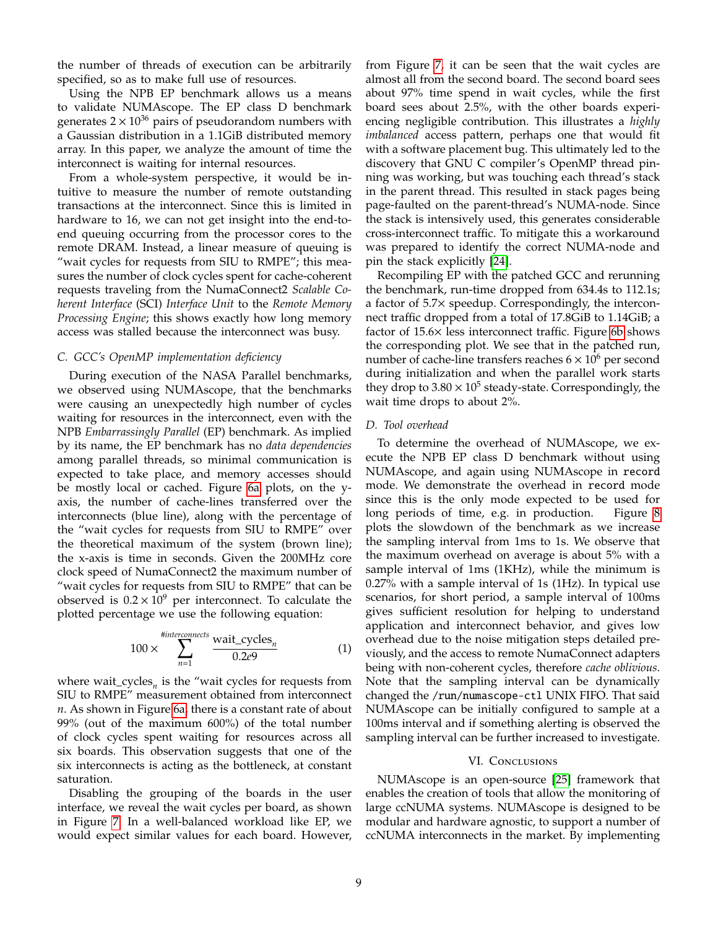the number of threads of execution can be arbitrarily specified, so as to make full use of resources.

Using the NPB EP benchmark allows us a means to validate NUMAscope. The EP class D benchmark generates  $2 \times 10^{36}$  pairs of pseudorandom numbers with a Gaussian distribution in a 1.1GiB distributed memory array. In this paper, we analyze the amount of time the interconnect is waiting for internal resources.

From a whole-system perspective, it would be intuitive to measure the number of remote outstanding transactions at the interconnect. Since this is limited in hardware to 16, we can not get insight into the end-toend queuing occurring from the processor cores to the remote DRAM. Instead, a linear measure of queuing is "wait cycles for requests from SIU to RMPE"; this measures the number of clock cycles spent for cache-coherent requests traveling from the NumaConnect2 *Scalable Coherent Interface* (SCI) *Interface Unit* to the *Remote Memory Processing Engine*; this shows exactly how long memory access was stalled because the interconnect was busy.

#### *C. GCC's OpenMP implementation deficiency*

During execution of the NASA Parallel benchmarks, we observed using NUMAscope, that the benchmarks were causing an unexpectedly high number of cycles waiting for resources in the interconnect, even with the NPB *Embarrassingly Parallel* (EP) benchmark. As implied by its name, the EP benchmark has no *data dependencies* among parallel threads, so minimal communication is expected to take place, and memory accesses should be mostly local or cached. Figure [6a](#page-9-11) plots, on the yaxis, the number of cache-lines transferred over the interconnects (blue line), along with the percentage of the "wait cycles for requests from SIU to RMPE" over the theoretical maximum of the system (brown line); the x-axis is time in seconds. Given the 200MHz core clock speed of NumaConnect2 the maximum number of "wait cycles for requests from SIU to RMPE" that can be observed is  $0.2 \times 10^9$  per interconnect. To calculate the plotted percentage we use the following equation:

$$
100 \times \sum_{n=1}^{\text{flinterconnects}} \frac{\text{wait\_cycles}_n}{0.2e9} \tag{1}
$$

where wait\_cycles*<sup>n</sup>* is the "wait cycles for requests from SIU to RMPE" measurement obtained from interconnect *n*. As shown in Figure [6a,](#page-9-11) there is a constant rate of about 99% (out of the maximum 600%) of the total number of clock cycles spent waiting for resources across all six boards. This observation suggests that one of the six interconnects is acting as the bottleneck, at constant saturation.

Disabling the grouping of the boards in the user interface, we reveal the wait cycles per board, as shown in Figure [7.](#page-9-12) In a well-balanced workload like EP, we would expect similar values for each board. However, from Figure [7,](#page-9-12) it can be seen that the wait cycles are almost all from the second board. The second board sees about 97% time spend in wait cycles, while the first board sees about 2.5%, with the other boards experiencing negligible contribution. This illustrates a *highly imbalanced* access pattern, perhaps one that would fit with a software placement bug. This ultimately led to the discovery that GNU C compiler's OpenMP thread pinning was working, but was touching each thread's stack in the parent thread. This resulted in stack pages being page-faulted on the parent-thread's NUMA-node. Since the stack is intensively used, this generates considerable cross-interconnect traffic. To mitigate this a workaround was prepared to identify the correct NUMA-node and pin the stack explicitly [\[24\]](#page-10-9).

Recompiling EP with the patched GCC and rerunning the benchmark, run-time dropped from 634.4s to 112.1s; a factor of 5.7× speedup. Correspondingly, the interconnect traffic dropped from a total of 17.8GiB to 1.14GiB; a factor of 15.6× less interconnect traffic. Figure [6b](#page-9-13) shows the corresponding plot. We see that in the patched run, number of cache-line transfers reaches  $6 \times 10^6$  per second during initialization and when the parallel work starts they drop to  $3.80 \times 10^5$  steady-state. Correspondingly, the wait time drops to about 2%.

#### *D. Tool overhead*

To determine the overhead of NUMAscope, we execute the NPB EP class D benchmark without using NUMAscope, and again using NUMAscope in record mode. We demonstrate the overhead in record mode since this is the only mode expected to be used for long periods of time, e.g. in production. Figure [8](#page-9-14) plots the slowdown of the benchmark as we increase the sampling interval from 1ms to 1s. We observe that the maximum overhead on average is about 5% with a sample interval of 1ms (1KHz), while the minimum is 0.27% with a sample interval of 1s (1Hz). In typical use scenarios, for short period, a sample interval of 100ms gives sufficient resolution for helping to understand application and interconnect behavior, and gives low overhead due to the noise mitigation steps detailed previously, and the access to remote NumaConnect adapters being with non-coherent cycles, therefore *cache oblivious*. Note that the sampling interval can be dynamically changed the /run/numascope-ctl UNIX FIFO. That said NUMAscope can be initially configured to sample at a 100ms interval and if something alerting is observed the sampling interval can be further increased to investigate.

#### VI. CONCLUSIONS

NUMAscope is an open-source [\[25\]](#page-10-10) framework that enables the creation of tools that allow the monitoring of large ccNUMA systems. NUMAscope is designed to be modular and hardware agnostic, to support a number of ccNUMA interconnects in the market. By implementing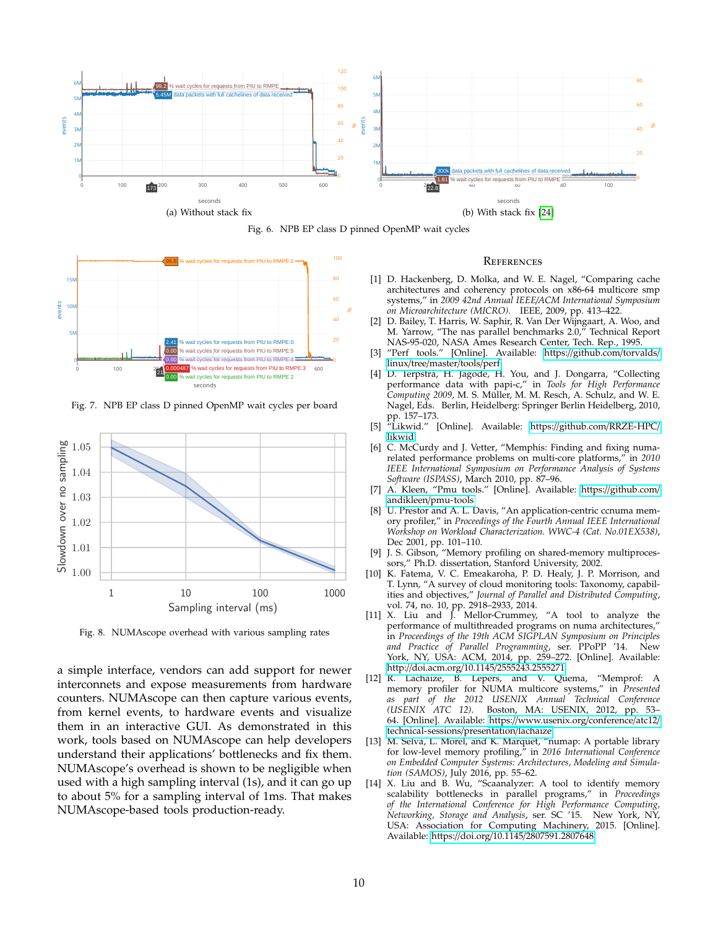<span id="page-9-11"></span>





<span id="page-9-12"></span>Fig. 7. NPB EP class D pinned OpenMP wait cycles per board



<span id="page-9-14"></span>Fig. 8. NUMAscope overhead with various sampling rates

a simple interface, vendors can add support for newer interconnets and expose measurements from hardware counters. NUMAscope can then capture various events, from kernel events, to hardware events and visualize them in an interactive GUI. As demonstrated in this work, tools based on NUMAscope can help developers understand their applications' bottlenecks and fix them. NUMAscope's overhead is shown to be negligible when used with a high sampling interval (1s), and it can go up to about 5% for a sampling interval of 1ms. That makes NUMAscope-based tools production-ready.

#### **REFERENCES**

- <span id="page-9-13"></span><span id="page-9-0"></span>[1] D. Hackenberg, D. Molka, and W. E. Nagel, "Comparing cache architectures and coherency protocols on x86-64 multicore smp systems," in *2009 42nd Annual IEEE*/*ACM International Symposium on Microarchitecture (MICRO)*. IEEE, 2009, pp. 413–422.
- <span id="page-9-1"></span>[2] D. Bailey, T. Harris, W. Saphir, R. Van Der Wijngaart, A. Woo, and M. Yarrow, "The nas parallel benchmarks 2.0," Technical Report NAS-95-020, NASA Ames Research Center, Tech. Rep., 1995.
- <span id="page-9-2"></span>[3] "Perf tools." [Online]. Available: https://[github.com](https://github.com/torvalds/linux/tree/master/tools/perf)/torvalds/ linux/tree/[master](https://github.com/torvalds/linux/tree/master/tools/perf)/tools/perf
- [4] D. Terpstra, H. Jagode, H. You, and J. Dongarra, "Collecting performance data with papi-c," in *Tools for High Performance Computing 2009*, M. S. Müller, M. M. Resch, A. Schulz, and W. E. Nagel, Eds. Berlin, Heidelberg: Springer Berlin Heidelberg, 2010, pp. 157–173.
- <span id="page-9-3"></span>[5] "Likwid." [Online]. Available: https://github.com/[RRZE-HPC](https://github.com/RRZE-HPC/likwid)/ [likwid](https://github.com/RRZE-HPC/likwid)
- <span id="page-9-4"></span>[6] C. McCurdy and J. Vetter, "Memphis: Finding and fixing numarelated performance problems on multi-core platforms," in *2010 IEEE International Symposium on Performance Analysis of Systems Software (ISPASS)*, March 2010, pp. 87–96.
- <span id="page-9-5"></span>[7] A. Kleen, "Pmu tools." [Online]. Available: https://[github.com](https://github.com/andikleen/pmu-tools)/ andikleen/[pmu-tools](https://github.com/andikleen/pmu-tools)
- <span id="page-9-6"></span>[8] U. Prestor and A. L. Davis, "An application-centric ccnuma memory profiler," in *Proceedings of the Fourth Annual IEEE International Workshop on Workload Characterization. WWC-4 (Cat. No.01EX538)*, Dec 2001, pp. 101–110.
- <span id="page-9-7"></span>[9] J. S. Gibson, "Memory profiling on shared-memory multiprocessors," Ph.D. dissertation, Stanford University, 2002.
- <span id="page-9-8"></span>[10] K. Fatema, V. C. Emeakaroha, P. D. Healy, J. P. Morrison, and T. Lynn, "A survey of cloud monitoring tools: Taxonomy, capabilities and objectives," *Journal of Parallel and Distributed Computing*, vol. 74, no. 10, pp. 2918–2933, 2014.
- <span id="page-9-9"></span>[11] X. Liu and J. Mellor-Crummey, "A tool to analyze the performance of multithreaded programs on numa architectures," in *Proceedings of the 19th ACM SIGPLAN Symposium on Principles and Practice of Parallel Programming*, ser. PPoPP '14. New York, NY, USA: ACM, 2014, pp. 259–272. [Online]. Available: http://doi.acm.org/10.1145/[2555243.2555271](http://doi.acm.org/10.1145/2555243.2555271)
- [12] R. Lachaize, B. Lepers, and V. Quema, "Memprof: A memory profiler for NUMA multicore systems," in *Presented as part of the 2012 USENIX Annual Technical Conference (USENIX ATC 12)*. Boston, MA: USENIX, 2012, pp. 53– 64. [Online]. Available: https://[www.usenix.org](https://www.usenix.org/conference/atc12/technical-sessions/presentation/lachaize)/conference/atc12/ [technical-sessions](https://www.usenix.org/conference/atc12/technical-sessions/presentation/lachaize)/presentation/lachaize
- [13] M. Selva, L. Morel, and K. Marquet, "numap: A portable library for low-level memory profiling," in *2016 International Conference on Embedded Computer Systems: Architectures, Modeling and Simulation (SAMOS)*, July 2016, pp. 55–62.
- <span id="page-9-10"></span>[14] X. Liu and B. Wu, "Scaanalyzer: A tool to identify memory scalability bottlenecks in parallel programs," in *Proceedings of the International Conference for High Performance Computing, Networking, Storage and Analysis*, ser. SC '15. New York, NY, USA: Association for Computing Machinery, 2015. [Online]. Available: https://doi.org/10.1145/[2807591.2807648](https://doi.org/10.1145/2807591.2807648)